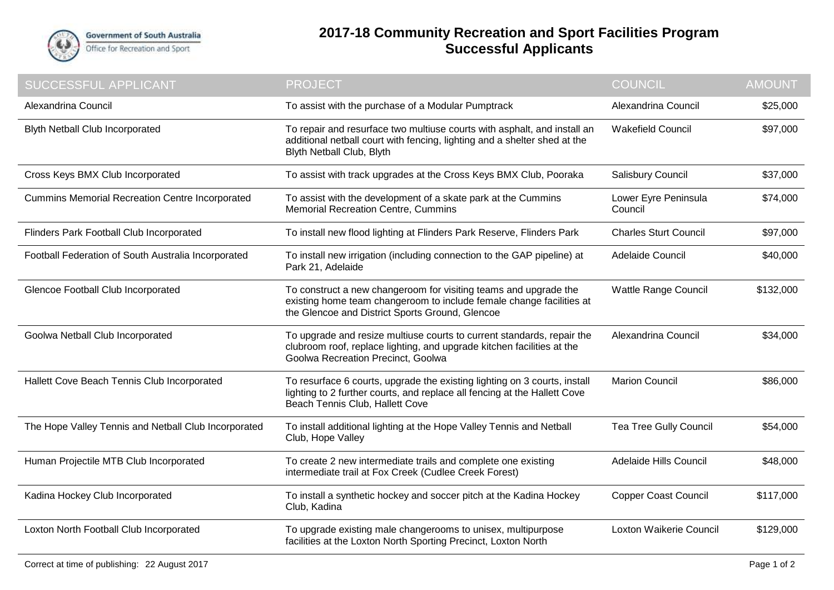

## **2017-18 Community Recreation and Sport Facilities Program Successful Applicants**

| SUCCESSFUL APPLICANT                                   | <b>PROJECT</b>                                                                                                                                                                              | <b>COUNCIL</b>                  | <b>AMOUNT</b> |
|--------------------------------------------------------|---------------------------------------------------------------------------------------------------------------------------------------------------------------------------------------------|---------------------------------|---------------|
| Alexandrina Council                                    | To assist with the purchase of a Modular Pumptrack                                                                                                                                          | Alexandrina Council             | \$25,000      |
| <b>Blyth Netball Club Incorporated</b>                 | To repair and resurface two multiuse courts with asphalt, and install an<br>additional netball court with fencing, lighting and a shelter shed at the<br>Blyth Netball Club, Blyth          | <b>Wakefield Council</b>        | \$97,000      |
| Cross Keys BMX Club Incorporated                       | To assist with track upgrades at the Cross Keys BMX Club, Pooraka                                                                                                                           | <b>Salisbury Council</b>        | \$37,000      |
| <b>Cummins Memorial Recreation Centre Incorporated</b> | To assist with the development of a skate park at the Cummins<br><b>Memorial Recreation Centre, Cummins</b>                                                                                 | Lower Eyre Peninsula<br>Council | \$74,000      |
| Flinders Park Football Club Incorporated               | To install new flood lighting at Flinders Park Reserve, Flinders Park                                                                                                                       | <b>Charles Sturt Council</b>    | \$97,000      |
| Football Federation of South Australia Incorporated    | To install new irrigation (including connection to the GAP pipeline) at<br>Park 21, Adelaide                                                                                                | Adelaide Council                | \$40,000      |
| Glencoe Football Club Incorporated                     | To construct a new changeroom for visiting teams and upgrade the<br>existing home team changeroom to include female change facilities at<br>the Glencoe and District Sports Ground, Glencoe | <b>Wattle Range Council</b>     | \$132,000     |
| Goolwa Netball Club Incorporated                       | To upgrade and resize multiuse courts to current standards, repair the<br>clubroom roof, replace lighting, and upgrade kitchen facilities at the<br>Goolwa Recreation Precinct, Goolwa      | Alexandrina Council             | \$34,000      |
| Hallett Cove Beach Tennis Club Incorporated            | To resurface 6 courts, upgrade the existing lighting on 3 courts, install<br>lighting to 2 further courts, and replace all fencing at the Hallett Cove<br>Beach Tennis Club, Hallett Cove   | <b>Marion Council</b>           | \$86,000      |
| The Hope Valley Tennis and Netball Club Incorporated   | To install additional lighting at the Hope Valley Tennis and Netball<br>Club, Hope Valley                                                                                                   | <b>Tea Tree Gully Council</b>   | \$54,000      |
| Human Projectile MTB Club Incorporated                 | To create 2 new intermediate trails and complete one existing<br>intermediate trail at Fox Creek (Cudlee Creek Forest)                                                                      | Adelaide Hills Council          | \$48,000      |
| Kadina Hockey Club Incorporated                        | To install a synthetic hockey and soccer pitch at the Kadina Hockey<br>Club, Kadina                                                                                                         | <b>Copper Coast Council</b>     | \$117,000     |
| Loxton North Football Club Incorporated                | To upgrade existing male changerooms to unisex, multipurpose<br>facilities at the Loxton North Sporting Precinct, Loxton North                                                              | Loxton Waikerie Council         | \$129,000     |